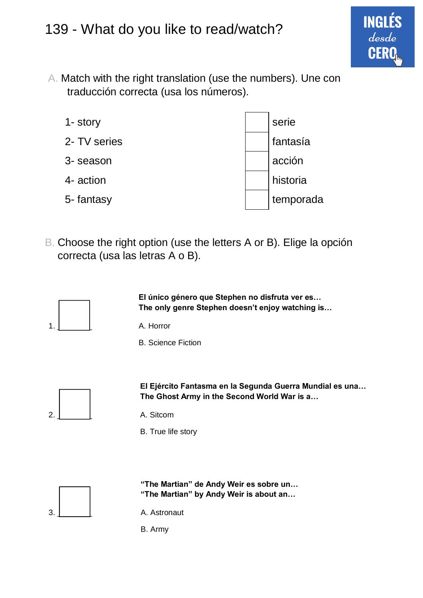

A. Match with the right translation (use the numbers). Une con traducción correcta (usa los números).

| 1- story     | serie     |
|--------------|-----------|
| 2- TV series | fantasía  |
| 3- season    | acción    |
| 4- action    | historia  |
| 5-fantasy    | temporada |

B. Choose the right option (use the letters A or B). Elige la opción correcta (usa las letras A o B).



**El único género que Stephen no disfruta ver es… The only genre Stephen doesn't enjoy watching is…**

B. Science Fiction



**El Ejército Fantasma en la Segunda Guerra Mundial es una… The Ghost Army in the Second World War is a…**

- 
- B. True life story



**"The Martian" de Andy Weir es sobre un… "The Martian" by Andy Weir is about an…**



B. Army